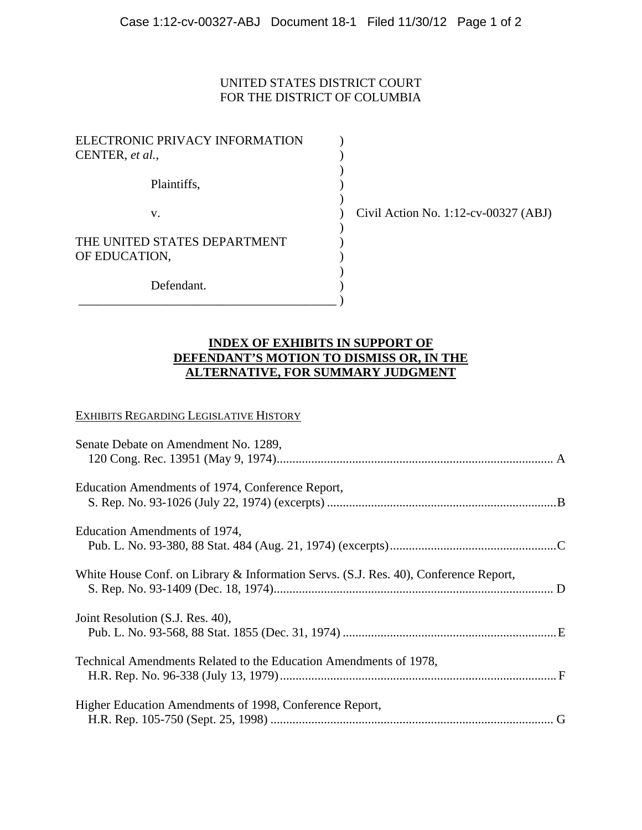## UNITED STATES DISTRICT COURT FOR THE DISTRICT OF COLUMBIA

| ELECTRONIC PRIVACY INFORMATION<br>CENTER, et al., |  |
|---------------------------------------------------|--|
| Plaintiffs,                                       |  |
| V.                                                |  |
| THE UNITED STATES DEPARTMENT<br>OF EDUCATION,     |  |
| Defendant.                                        |  |

 $\overline{\phantom{a}}$  )  $\overline{\phantom{a}}$ 

 $\vee$  Civil Action No. 1:12-cv-00327 (ABJ)

## **INDEX OF EXHIBITS IN SUPPORT OF DEFENDANT'S MOTION TO DISMISS OR, IN THE ALTERNATIVE, FOR SUMMARY JUDGMENT**

#### EXHIBITS REGARDING LEGISLATIVE HISTORY

| Senate Debate on Amendment No. 1289,                                                 |  |
|--------------------------------------------------------------------------------------|--|
|                                                                                      |  |
|                                                                                      |  |
| Education Amendments of 1974, Conference Report,                                     |  |
|                                                                                      |  |
| Education Amendments of 1974,                                                        |  |
|                                                                                      |  |
|                                                                                      |  |
| White House Conf. on Library & Information Servs. (S.J. Res. 40), Conference Report, |  |
|                                                                                      |  |
| Joint Resolution (S.J. Res. 40),                                                     |  |
|                                                                                      |  |
|                                                                                      |  |
| Technical Amendments Related to the Education Amendments of 1978,                    |  |
|                                                                                      |  |
|                                                                                      |  |
| Higher Education Amendments of 1998, Conference Report,                              |  |
|                                                                                      |  |
|                                                                                      |  |